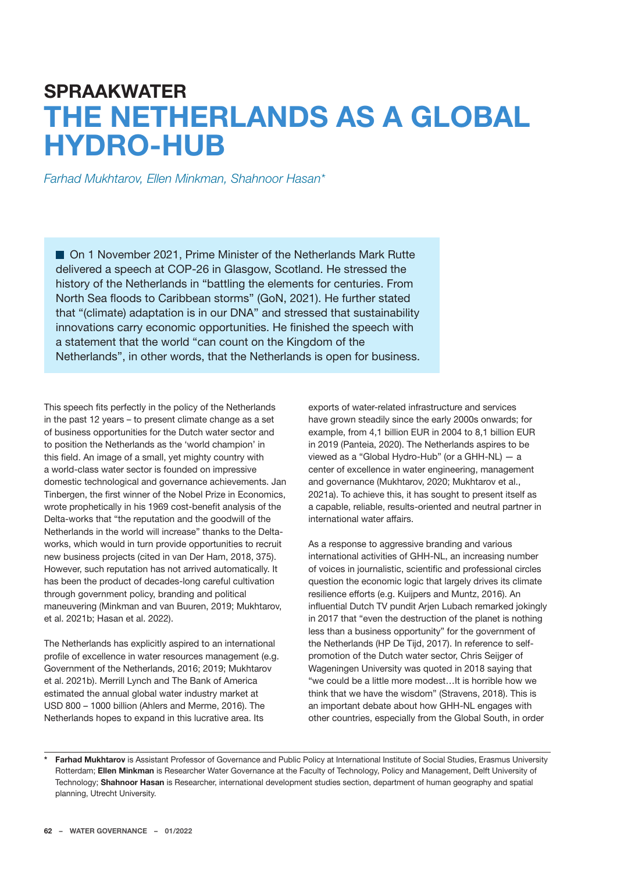## **SPRAAKWATER THE NETHERLANDS AS A GLOBAL HYDRO-HUB**

*Farhad Mukhtarov, Ellen Minkman, Shahnoor Hasan\**

■ On 1 November 2021, Prime Minister of the Netherlands Mark Rutte delivered a speech at COP-26 in Glasgow, Scotland. He stressed the history of the Netherlands in "battling the elements for centuries. From North Sea floods to Caribbean storms" (GoN, 2021). He further stated that "(climate) adaptation is in our DNA" and stressed that sustainability innovations carry economic opportunities. He finished the speech with a statement that the world "can count on the Kingdom of the Netherlands", in other words, that the Netherlands is open for business.

This speech fits perfectly in the policy of the Netherlands in the past 12 years – to present climate change as a set of business opportunities for the Dutch water sector and to position the Netherlands as the 'world champion' in this field. An image of a small, yet mighty country with a world-class water sector is founded on impressive domestic technological and governance achievements. Jan Tinbergen, the first winner of the Nobel Prize in Economics, wrote prophetically in his 1969 cost-benefit analysis of the Delta-works that "the reputation and the goodwill of the Netherlands in the world will increase" thanks to the Deltaworks, which would in turn provide opportunities to recruit new business projects (cited in van Der Ham, 2018, 375). However, such reputation has not arrived automatically. It has been the product of decades-long careful cultivation through government policy, branding and political maneuvering (Minkman and van Buuren, 2019; Mukhtarov, et al. 2021b; Hasan et al. 2022).

The Netherlands has explicitly aspired to an international profile of excellence in water resources management (e.g. Government of the Netherlands, 2016; 2019; Mukhtarov et al. 2021b). Merrill Lynch and The Bank of America estimated the annual global water industry market at USD 800 – 1000 billion (Ahlers and Merme, 2016). The Netherlands hopes to expand in this lucrative area. Its

exports of water-related infrastructure and services have grown steadily since the early 2000s onwards; for example, from 4,1 billion EUR in 2004 to 8,1 billion EUR in 2019 (Panteia, 2020). The Netherlands aspires to be viewed as a "Global Hydro-Hub" (or a GHH-NL) — a center of excellence in water engineering, management and governance (Mukhtarov, 2020; Mukhtarov et al., 2021a). To achieve this, it has sought to present itself as a capable, reliable, results-oriented and neutral partner in international water affairs.

As a response to aggressive branding and various international activities of GHH-NL, an increasing number of voices in journalistic, scientific and professional circles question the economic logic that largely drives its climate resilience efforts (e.g. Kuijpers and Muntz, 2016). An influential Dutch TV pundit Arjen Lubach remarked jokingly in 2017 that "even the destruction of the planet is nothing less than a business opportunity" for the government of the Netherlands (HP De Tijd, 2017). In reference to selfpromotion of the Dutch water sector, Chris Seijger of Wageningen University was quoted in 2018 saying that "we could be a little more modest…It is horrible how we think that we have the wisdom" (Stravens, 2018). This is an important debate about how GHH-NL engages with other countries, especially from the Global South, in order

**\* Farhad Mukhtarov** is Assistant Professor of Governance and Public Policy at International Institute of Social Studies, Erasmus University Rotterdam; **Ellen Minkman** is Researcher Water Governance at the Faculty of Technology, Policy and Management, Delft University of Technology; **Shahnoor Hasan** is Researcher, international development studies section, department of human geography and spatial planning, Utrecht University.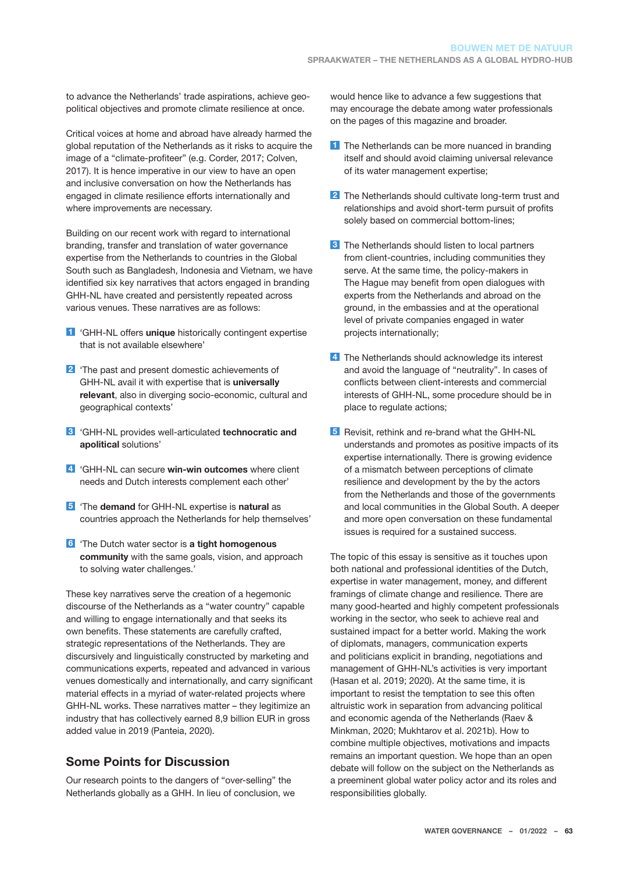to advance the Netherlands' trade aspirations, achieve geopolitical objectives and promote climate resilience at once.

Critical voices at home and abroad have already harmed the global reputation of the Netherlands as it risks to acquire the image of a "climate-profiteer" (e.g. Corder, 2017; Colven, 2017). It is hence imperative in our view to have an open and inclusive conversation on how the Netherlands has engaged in climate resilience efforts internationally and where improvements are necessary.

Building on our recent work with regard to international branding, transfer and translation of water governance expertise from the Netherlands to countries in the Global South such as Bangladesh, Indonesia and Vietnam, we have identified six key narratives that actors engaged in branding GHH-NL have created and persistently repeated across various venues. These narratives are as follows:

- **1** 'GHH-NL offers **unique** historically contingent expertise that is not available elsewhere'
- **2** 'The past and present domestic achievements of GHH-NL avail it with expertise that is **universally relevant**, also in diverging socio-economic, cultural and geographical contexts'
- **3** 'GHH-NL provides well-articulated **technocratic and apolitical** solutions'
- **4** 'GHH-NL can secure **win-win outcomes** where client needs and Dutch interests complement each other'
- **5** 'The **demand** for GHH-NL expertise is **natural** as countries approach the Netherlands for help themselves'
- **6** 'The Dutch water sector is **a tight homogenous community** with the same goals, vision, and approach to solving water challenges.'

These key narratives serve the creation of a hegemonic discourse of the Netherlands as a "water country" capable and willing to engage internationally and that seeks its own benefits. These statements are carefully crafted, strategic representations of the Netherlands. They are discursively and linguistically constructed by marketing and communications experts, repeated and advanced in various venues domestically and internationally, and carry significant material effects in a myriad of water-related projects where GHH-NL works. These narratives matter – they legitimize an industry that has collectively earned 8,9 billion EUR in gross added value in 2019 (Panteia, 2020).

## **Some Points for Discussion**

Our research points to the dangers of "over-selling" the Netherlands globally as a GHH. In lieu of conclusion, we would hence like to advance a few suggestions that may encourage the debate among water professionals on the pages of this magazine and broader.

- **1** The Netherlands can be more nuanced in branding itself and should avoid claiming universal relevance of its water management expertise;
- **2** The Netherlands should cultivate long-term trust and relationships and avoid short-term pursuit of profits solely based on commercial bottom-lines;
- **3** The Netherlands should listen to local partners from client-countries, including communities they serve. At the same time, the policy-makers in The Hague may benefit from open dialogues with experts from the Netherlands and abroad on the ground, in the embassies and at the operational level of private companies engaged in water projects internationally;
- **4** The Netherlands should acknowledge its interest and avoid the language of "neutrality". In cases of conflicts between client-interests and commercial interests of GHH-NL, some procedure should be in place to regulate actions;
- **5** Revisit, rethink and re-brand what the GHH-NL understands and promotes as positive impacts of its expertise internationally. There is growing evidence of a mismatch between perceptions of climate resilience and development by the by the actors from the Netherlands and those of the governments and local communities in the Global South. A deeper and more open conversation on these fundamental issues is required for a sustained success.

The topic of this essay is sensitive as it touches upon both national and professional identities of the Dutch, expertise in water management, money, and different framings of climate change and resilience. There are many good-hearted and highly competent professionals working in the sector, who seek to achieve real and sustained impact for a better world. Making the work of diplomats, managers, communication experts and politicians explicit in branding, negotiations and management of GHH-NL's activities is very important (Hasan et al. 2019; 2020). At the same time, it is important to resist the temptation to see this often altruistic work in separation from advancing political and economic agenda of the Netherlands (Raev & Minkman, 2020; Mukhtarov et al. 2021b). How to combine multiple objectives, motivations and impacts remains an important question. We hope than an open debate will follow on the subject on the Netherlands as a preeminent global water policy actor and its roles and responsibilities globally.